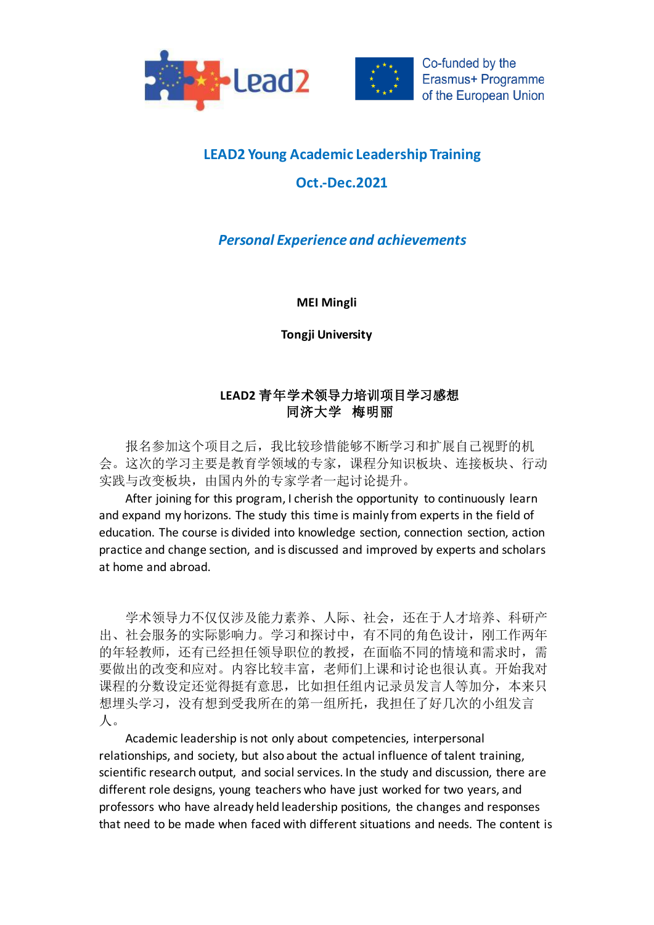



## **LEAD2 Young Academic Leadership Training**

## **Oct.-Dec.2021**

## *Personal Experience and achievements*

**MEI Mingli**

**Tongji University**

## **LEAD2** 青年学术领导力培训项目学习感想 同济大学梅明丽

报名参加这个项目之后,我比较珍惜能够不断学习和扩展自己视野的机 会。这次的学习主要是教育学领域的专家,课程分知识板块、连接板块、行动 实践与改变板块,由国内外的专家学者一起讨论提升。

After joining for this program, I cherish the opportunity to continuously learn and expand my horizons. The study this time is mainly from experts in the field of education. The course is divided into knowledge section, connection section, action practice and change section, and is discussed and improved by experts and scholars at home and abroad.

学术领导力不仅仅涉及能力素养、人际、社会,还在于人才培养、科研产 出、社会服务的实际影响力。学习和探讨中,有不同的角色设计,刚工作两年 的年轻教师,还有已经担任领导职位的教授,在面临不同的情境和需求时,需 要做出的改变和应对。内容比较丰富,老师们上课和讨论也很认真。开始我对 课程的分数设定还觉得挺有意思,比如担任组内记录员发言人等加分,本来只 想埋头学习,没有想到受我所在的第一组所托,我担任了好几次的小组发言 人。

Academic leadership is not only about competencies, interpersonal relationships, and society, but also about the actual influence of talent training, scientific research output, and social services. In the study and discussion, there are different role designs, young teachers who have just worked for two years, and professors who have already held leadership positions, the changes and responses that need to be made when faced with different situations and needs. The content is